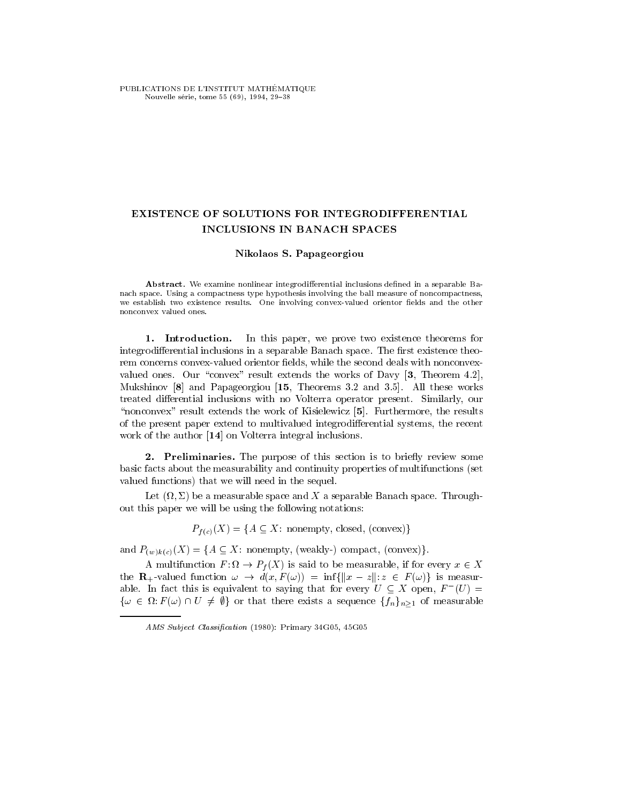PUBLICATIONS DE L'INSTITUT MATHÉMATIQUE Nouvelle série, tome 55 (69), 1994, 29-38

## EXISTENCE OF SOLUTIONS FOR INTEGRODIFFERENTIAL INCLUSIONS IN BANACH SPACES

## Nikolaos S. Papageorgiou

Abstract. We examine nonlinear integrodifferential inclusions defined in a separable Banach space. Using a compactness type hypothesis involving the ball measure of noncompactness, we establish two existence results. One involving convex-valued orientor fields and the other nonconvex valued ones.

1. Introduction. In this paper, we prove two existence theorems for integrodifferential inclusions in a separable Banach space. The first existence theorem concerns convex-valued orientor fields, while the second deals with nonconvexvalued ones. Our "convex" result extends the works of Davy  $[3,$  Theorem 4.2], Mukshinov [8] and Papageorgiou [15, Theorems 3.2 and 3.5]. All these works treated differential inclusions with no Volterra operator present. Similarly, our "nonconvex" result extends the work of Kisielewicz [5]. Furthermore, the results of the present paper extend to multivalued integrodierential systems, the recent work of the author [14] on Volterra integral inclusions.

2. Preliminaries. The purpose of this section is to briefly review some basic facts about the measurability and continuity properties of multifunctions (set valued functions) that we will need in the sequel.

Let ( ; ) be a measurable space and X a separable Banach space. Throughout this paper we will be using the following notations:

 $P_{f(c)}(X) = \{A \subseteq X: \text{ nonempty, closed, (convex)}\}$ 

and  $P_{(w)k(c)}(X) = \{A \subseteq X: \text{ nonempty, (weakly-) compact, (convex)}\}.$ 

A multifunction  $F: M \to P_f(A)$  is said to be measurable, if for every  $x \in A$ the  $\mathbf{R}_{+}$ -valued function  $\omega \to d(x, F(\omega)) = \inf \{ ||x - z|| : z \in F(\omega) \}$  is measurable. In fact this is equivalent to saying that for every  $U \subseteq X$  open,  $F^-(U) =$  $\{\omega \in \Omega : r(\omega) \cap U \neq \psi\}$  or that there exists a sequence  $\{f_n\}_{n\geq 1}$  or measurable

AMS Subject Classification (1980): Primary 34G05, 45G05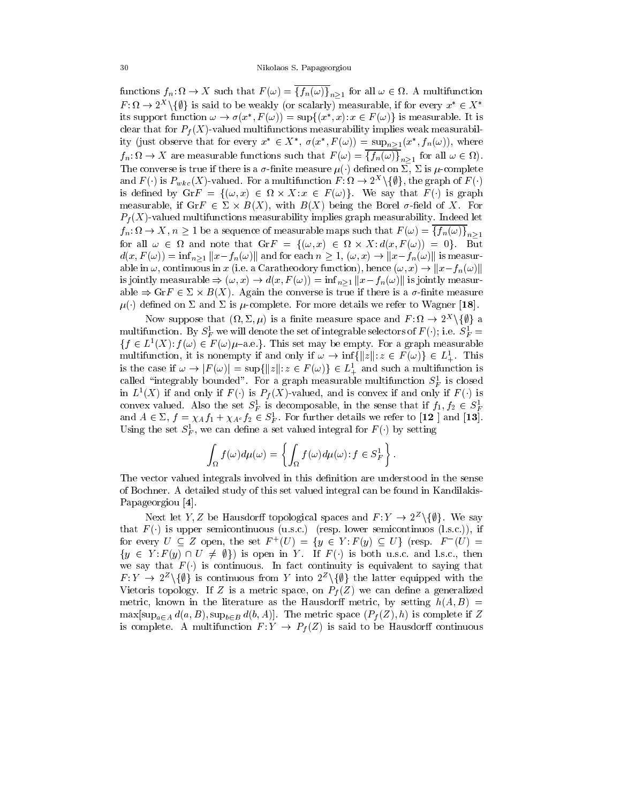functions  $f_n: \Omega \to \Lambda$  such that  $F(\omega) = \{f_n(\omega)\}_{n \geq 1}$  for all  $\omega \in \Omega$ . A multifunction  $F : M \to Z^- \setminus \{ \psi \}$  is said to be weakly (or scalarly) measurable, if for every  $x \in A$ its support function  $\omega \to \sigma(x^-, F(\omega)) = \sup\{(x^-, x): x \in F(\omega)\}\)$  is measurable. It is clear that for  $P_f(X)$ -valued multifunctions measurability implies weak measurability (just observe that for every  $x \in A$ ,  $\sigma(x, f(\omega)) = \sup_{n \ge 1} (x, f_n(\omega))$ , where  $f_n: \mathcal{U} \to \Lambda$  are measurable functions such that  $F(\omega) = \{f_n(\omega)\}_{n>1}$  for all  $\omega \in \mathcal{U}$ . The converse is true if there is a  $\sigma$ -finite measure  $\mu(\cdot)$  defined on  $\Sigma$ ,  $\Sigma$  is  $\mu$ -complete and  $F$  ( ) is  $F_{wkc}(X)$ -valued. For a multifunction  $F : \Omega \to Z^+ \setminus \{ \psi \}$ , the graph of  $F$  ( ) is defined by  $\text{Gir } f = \{(\omega, x) \in M \times \Lambda : x \in F(\omega)\}\$ . We say that  $F(\cdot)$  is graph measurable, if GrF  $\in$   $\triangle$   $\times$   $B(\Lambda)$ , with  $B(\Lambda)$  being the Borel  $\sigma$ -neid of  $\Lambda$ . For  $P_f(X)$ -valued multifunctions measurability implies graph measurability. Indeed let  $f_n: \Omega \to \Lambda$ ,  $n \geq 1$  be a sequence of measurable maps such that  $F(\omega) = \{f_n(\omega)\}_{n \geq 1}$ for all  $\omega \in \Omega$  and note that  $\mathrm{Gr} F = \{(\omega, x) \in \Omega \times X : d(x, F(\omega)) = 0\}$ . But  $d(x, F(\omega)) = \inf_{n>1} ||x - f_n(\omega)||$  and for each  $n \geq 1$ ,  $(\omega, x) \to ||x - f_n(\omega)||$  is measur-1 be a sequence of measurable maps such that  $F(\omega) = \{f_n(\omega)\}_{n \ge 1}$ <br>and note that  $\text{Gr}F = \{(\omega, x) \in \Omega \times X : d(x, F(\omega)) = 0\}$ . But  $n > 1$ ,  $|x - f_n(\omega)|$  and for each  $n \ge 1$ ,  $(\omega, x) \to ||x - f_n(\omega)||$  is measurfor all  $\omega \in \Omega$  and note that  $\mathrm{Gr} F = \{(\omega, x) \in \Omega \times X : d(x, F(\omega)) = 0\}$ . But  $d(x, F(\omega)) = \inf_{n \ge 1} ||x - f_n(\omega)||$  and for each  $n \ge 1$ ,  $(\omega, x) \to ||x - f_n(\omega)||$  is measurable in  $\omega$ , continuous in x (i.e. a Caratheodory function), hence  $(\omega$ is jointly measurable  $\Rightarrow$   $(\omega, x) \rightarrow a(x, F(\omega)) = \min_{n \geq 1} ||x - f_n(\omega)||$  is jointly measurable  $\Rightarrow$  Gir  $\in$   $\vartriangle$   $\times$   $B(\varLambda)$ . Again the converse is true if there is a  $\sigma$ -finite measure  $\mu(\cdot)$  defined on  $\Sigma$  and  $\Sigma$  is  $\mu$ -complete. For more details we refer to Wagner [18].

Now suppose that  $(x, 2, \mu)$  is a finite measure space and  $F: \mathcal{U} \to \mathcal{Z}^+ \setminus \{\psi\}$  a multifunction. By  $S_F$  we will denote the set of integrable selectors of  $F(\cdot)$ ; i.e.  $S_F =$  $\{f \in L^*(\Lambda): f(\omega) \in F(\omega) \mu$  -a.e. Finis set may be empty. For a graph measurable multifunction. By  $S_F^1$  we will denote the set of integrable selectors of  $F(\cdot)$ ; i.e.  $S_F^1 = \{f \in L^1(X): f(\omega) \in F(\omega)\mu$ -a.e.}. This set may be empty. For a graph measurable multifunction, it is nonempty if and only if  $\omega \to \$ multifunction, it is nonempty if and only if  $\omega \to \inf\{||z||: z \in F(\omega)\}\in L^1_+$ . This  $\{f \in L^1(X): f(\omega) \in F(\omega)\mu$ -a.e.}. This set may be empty. For a graph measurable multifunction, it is nonempty if and only if  $\omega \to \inf\{\|z\|: z \in F(\omega)\} \in L^1_+$ . This is the case if  $\omega \to |F(\omega)| = \sup\{\|z\|: z \in F(\omega)\} \in L^1_+$  and such a called  $\;$  integrably bounded. For a graph measurable multifunction  $S_F^{\;r}$  is closed in  $L^*(X)$  if and only if  $F()$  is  $P_f(X)$ -valued, and is convex if and only if  $F()$  is convex valued. Also the set  $S_F$  is decomposable, in the sense that if  $J_1, J_2 \in S_F$ and  $A \in \Sigma$ ,  $f = \chi_A f_1 + \chi_{A^c} f_2 \in S_F^1$ . For further details we refer to [12 ] and [13]. Using the set  $S_F$ , we can define a set valued integral for  $F(\cdot)$  by setting

$$
\int_{\Omega} f(\omega) d\mu(\omega) = \left\{ \int_{\Omega} f(\omega) d\mu(\omega) : f \in S_F^1 \right\}.
$$

The vector valued integrals involved in this definition are understood in the sense of Bochner. A detailed study of this set valued integral can be found in Kandilakis-Papageorgiou [4].

Next let  $Y, Z$  be Hausdorn topological spaces and  $F: Y \to Z^- \setminus \{ \psi \}$ . We say that  $F(\cdot)$  is upper semicontinuous (u.s.c.) (resp. lower semicontinuos (l.s.c.)), if for every  $U \subseteq Z$  open, the set  $F^+(U) = \{y \in Y : F(y) \subseteq U\}$  (resp.  $F^-(U) =$  $\{y \in Y : F(y) \cap U \neq \emptyset\}$  is open in Y. If  $F()$  is both u.s.c. and l.s.c., then we say that  $F(\cdot)$  is continuous. In fact continuity is equivalent to saying that  $F: Y \to Z^- \setminus \{ \psi \}$  is continuous from Y into  $Z^- \setminus \{ \psi \}$  the latter equipped with the Vietoris topology. If Z is a metric space, on  $P_f(Z)$  we can define a generalized metric, known in the literature as the Hausdorff metric, by setting  $h(A, B)$  =  $\max[\sup_{a\in A} d(a, B), \sup_{b\in B} d(b, A)].$  The metric space  $(P_f(Z), h)$  is complete if Z is complete. A multifunction  $F: Y \to P_f(Z)$  is said to be Hausdorff continuous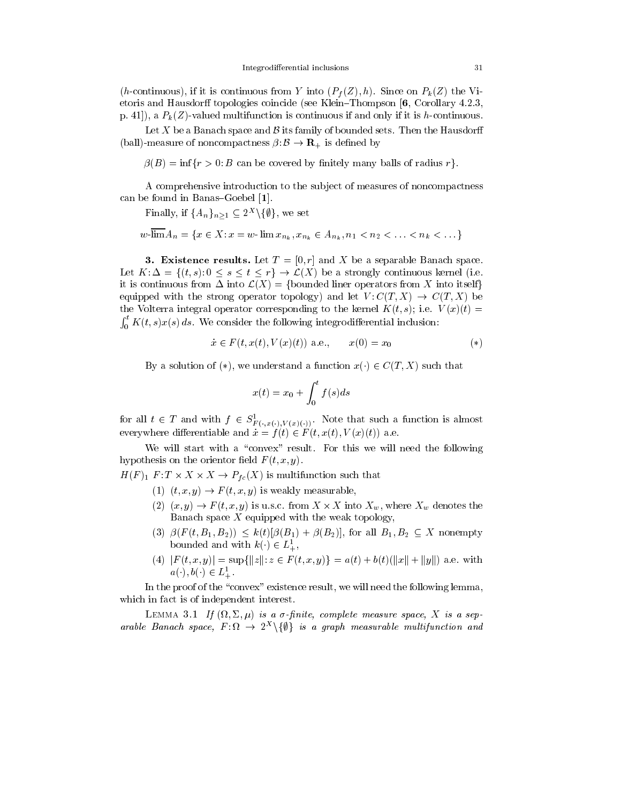(h-continuous), if it is continuous from Y into  $(P_f(Z), h)$ . Since on  $P_k(Z)$  the Vietoris and Hausdorff topologies coincide (see Klein-Thompson  $[6,$  Corollary 4.2.3, p. 41]), a  $P_k(Z)$ -valued multifunction is continuous if and only if it is h-continuous.

Let X be a Banach space and  $\beta$  its family of bounded sets. Then the Hausdorff (ball)-measure of noncompactness  $\beta: \mathcal{B} \to \mathbf{R}_+$  is defined by

 $\beta(B) = \inf \{r > 0 : B \text{ can be covered by finitely many balls of radius } r\}.$ 

A comprehensive introduction to the sub ject of measures of noncompactness can be found in Banas-Goebel  $[1]$ .

Finally, if  ${A_n}_{n\geq1} \subset 2^{\infty}$  ( $\{ \psi \}$ , we set

$$
w\cdot \overline{\lim} A_n = \{ x \in X : x = w\cdot \lim x_{n_k}, x_{n_k} \in A_{n_k}, n_1 < n_2 < \ldots < n_k < \ldots \}
$$

**3. Existence results.** Let  $T = [0, r]$  and X be a separable Banach space. Let  $K: \Delta = \{(t, s): 0 \le s \le t \le r\} \rightarrow \mathcal{L}(X)$  be a strongly continuous kernel (i.e. it is continuous from  $\Delta$  into  $\mathcal{L}(X) = \{\text{bounded linear operators from } X \text{ into itself}\}\$ equipped with the strong operator topology) and let  $V: C(T,X) \to C(T,X)$  be the Volterra integral operator corresponding to the kernel  $K(t, s)$ ; i.e.  $V(x)(t) =$  $\int_0^{\iota} K(t,s) x(s) ds$ . We consider the following integrodifferential inclusion:

$$
\dot{x} \in F(t, x(t), V(x)(t)) \text{ a.e., } x(0) = x_0 \tag{*}
$$

By a solution of (\*), we understand a function  $x(\cdot) \in C(T,X)$  such that

$$
x(t) = x_0 + \int_0^t f(s)ds
$$

for all  $t \in I$  and with  $f \in S_{F(\cdot,x(\cdot),V(x)(\cdot))}^{\mathbb{Z}}$ . Note that such a function is almost everywhere differentiable and  $\dot{x} = f (t) \in F (t, x(t), V (x)(t))$  a.e.

We will start with a "convex" result. For this we will need the following hypothesis on the orientor field  $F(t, x, y)$ .

 $H(F)_1$   $F: I \times X \times X \rightarrow P_{fc}(X)$  is multifunction such that

- (1)  $(t, x, y) \rightarrow F(t, x, y)$  is weakly measurable,
- $(2)$   $(x, y) \rightarrow F(t, x, y)$  is u.s.c. from  $A \times A$  theo  $A_w$ , where  $A_w$  denotes the Banach space  $X$  equipped with the weak topology,
- (3)  $\beta(F(t, B_1, B_2)) \leq k(t)[\beta(B_1) + \beta(B_2)]$ , for all  $B_1, B_2 \subseteq X$  nonempty bounded and with  $\kappa(\cdot) \in L_+^-,$
- (4)  $|F(t, x, y)| = \sup\{|z| : z \in F(t, x, y)\} = a(t) + b(t)(\|x\| + \|y\|)$  a.e. with  $a(\cdot), b(\cdot) \in L_+^-.$

In the proof of the "convex" existence result, we will need the following lemma, which in fact is of independent interest.

 $\blacksquare$  .........  $\cup$  ...  $\blacksquare$   $\blacksquare$   $\blacksquare$   $\blacksquare$   $\blacksquare$   $\blacksquare$   $\blacksquare$   $\blacksquare$   $\blacksquare$   $\blacksquare$   $\blacksquare$   $\blacksquare$   $\blacksquare$   $\blacksquare$   $\blacksquare$   $\blacksquare$   $\blacksquare$   $\blacksquare$   $\blacksquare$   $\blacksquare$   $\blacksquare$   $\blacksquare$   $\blacksquare$   $\blacksquare$   $\blacksquare$   $\blacksquare$   $\blacksquare$   $\blacksquare$ arable Banach space,  $F : M \rightarrow Z^+ \setminus \{ \psi \}$  is a graph measurable multifunction and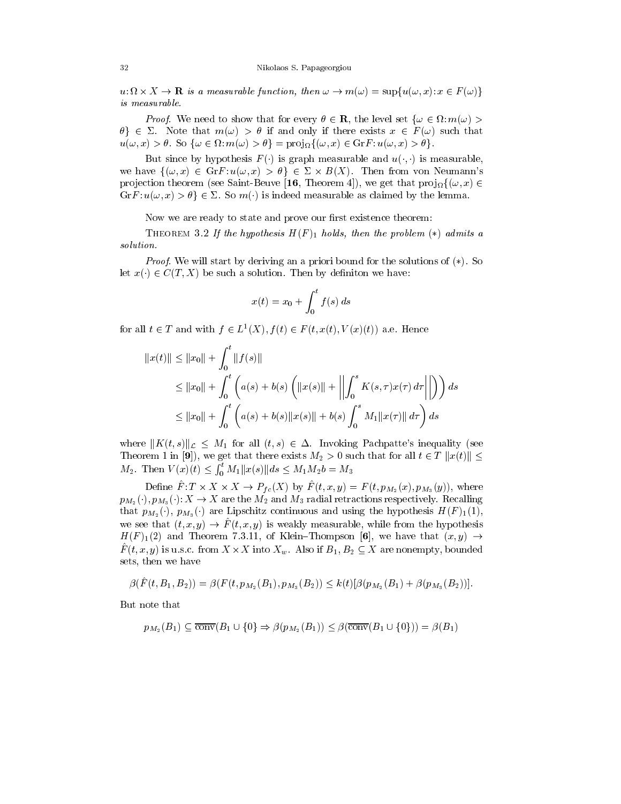$u: u \times \Lambda \to \mathbf{R}$  is a measurable function, then  $\omega \to m(\omega) = \sup \{u(\omega, x): x \in F(\omega)\}$ is measurable.

*Proof.* We need to show that for every  $\sigma \in \mathbf{R}$ , the level set  $\{\omega \in \Omega : m(\omega) > \mathbf{R}\}$  $\theta \in \Sigma$ . Note that  $m(\omega) > \theta$  if and only if there exists  $x \in F(\omega)$  such that  $u(\omega, x) > \sigma$ . So  $\{\omega \in \Omega : m(\omega) > \sigma\} = \text{proj}_{\Omega}\{\omega, x\} \in \text{Grf}: u(\omega, x) > \sigma\}$ .

But since by hypothesis  $F()$  is graph measurable and  $u(.,.)$  is measurable, we have  $\{(\omega, x) \in \mathrm{Gr}F : u(\omega, x) > \theta\} \in \Sigma \times B(X)$ . Then from von Neumann's pro jection theorem (see Saint-Beuve [10, Theorem 4]), we get that  $proj_{\Omega} \{(\omega, x) \in$ we have  $\{(\omega, x) \in \text{Gr}F : u(\omega, x) > \theta\} \in \Sigma \times B(X)$ . Then from von Neumann's projection theorem (see Saint-Beuve [16, Theorem 4]), we get that  $\text{proj}_{\Omega}\{(\omega, x) \in \text{Gr}F : u(\omega, x) > \theta\} \in \Sigma$ . So  $m(\cdot)$  is indeed measurable as claimed

Now we are ready to state and prove our first existence theorem:

THEOREM 3.2 If the hypothesis  $H(F)_1$  holds, then the problem (\*) admits a solution.

Proof. We will start by deriving an a priori bound for the solutions of (\*). So let  $x(\cdot) \in C(T, X)$  be such a solution. Then by definiton we have:

$$
x(t) = x_0 + \int_0^t f(s) \, ds
$$

for all  $t \in I$  and with  $f \in L^1(\Lambda), f(t) \in F(t, x(t), V(x)(t))$  a.e. Hence

$$
||x(t)|| \le ||x_0|| + \int_0^t ||f(s)||
$$
  
\n
$$
\le ||x_0|| + \int_0^t \left( a(s) + b(s) \left( ||x(s)|| + || \int_0^s K(s, \tau) x(\tau) d\tau || \right) \right) ds
$$
  
\n
$$
\le ||x_0|| + \int_0^t \left( a(s) + b(s) ||x(s)|| + b(s) \int_0^s M_1 ||x(\tau)|| d\tau \right) ds
$$

where  $||K(t, s)||_{\mathcal{L}} \leq M_1$  for all  $(t, s) \in \Delta$ . Invoking Pachpatte's inequality (see Theorem 1 in [9]), we get that there exists  $M_2 > 0$  such that for all  $t \in T \Vert x(t) \Vert \leq$  $M_2$ . Then  $V(x)(t) \leq \int_0^t M_1 ||x(s)|| ds \leq M_1 M_2 b = M_3$ 

Denne  $F: I \times X \times X \to P_{fc}(X)$  by  $F(t, x, y) = F(t, p_{M_2}(x), p_{M_3}(y))$ , where  $p_{M_2}(\cdot), p_{M_3}(\cdot): X \to X$  are the  $M_2$  and  $M_3$  radial retractions respectively. Recalling that  $p_{M_2}(\cdot), p_{M_3}(\cdot)$  are Lipschitz continuous and using the hypothesis  $H(F)_1(1)$ , we see that  $(t, x, y) \rightarrow \hat{F}(t, x, y)$  is weakly measurable, while from the hypothesis  $H(F)_1(2)$  and Theorem 7.3.11, of Klein-Thompson [6], we have that  $(x, y) \rightarrow$  $F^{\dagger}(t, x, y)$  is u.s.c. from  $A \times A$  into  $A_w$ . Also if  $B_1, B_2 \subseteq A$  are nonempty, bounded sets, then we have

$$
\beta(\hat{F}(t,B_1,B_2)) = \beta(F(t,p_{M_2}(B_1),p_{M_3}(B_2)) \leq k(t)[\beta(p_{M_2}(B_1) + \beta(p_{M_3}(B_2))].
$$

But note that

note that  
\n
$$
p_{M_2}(B_1) \subseteq \overline{\text{conv}}(B_1 \cup \{0\} \Rightarrow \beta(p_{M_2}(B_1)) \leq \beta(\overline{\text{conv}}(B_1 \cup \{0\})) = \beta(B_1)
$$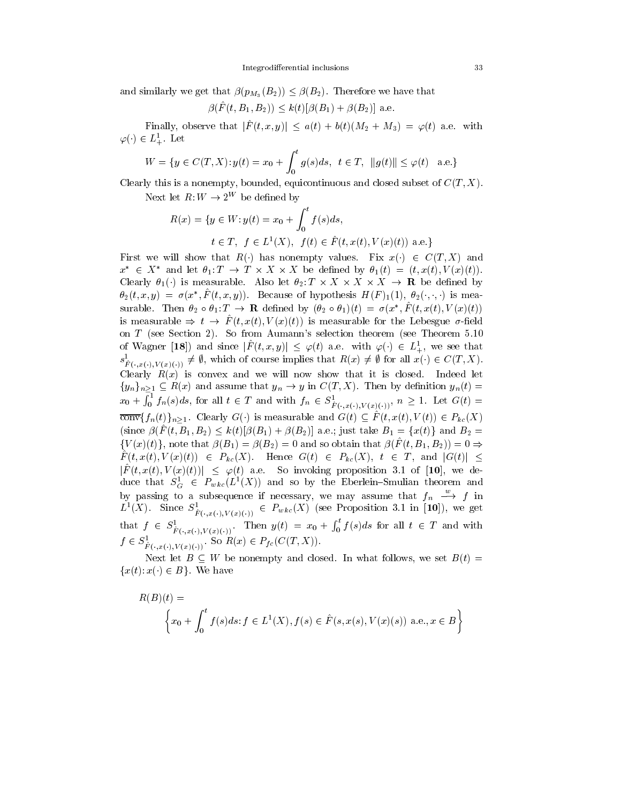and similarly we get that  $\beta(p_{M_3}(B_2)) \leq \beta(B_2)$ . Therefore we have that

$$
\beta(F(t, B_1, B_2)) \leq k(t)[\beta(B_1) + \beta(B_2)]
$$
 a.e.

Finally, observe that  $|\hat{F}(t; x, y)| \leq a(t) + b(t)(M_2 + M_3) = \varphi(t)$  a.e. with  $\varphi(\cdot) \in L_+^{\cdot}$ . Let

$$
L^{1}_{+}.
$$
 Let  
\n
$$
W = \{ y \in C(T, X) : y(t) = x_{0} + \int_{0}^{t} g(s)ds, \ t \in T, \ ||g(t)|| \leq \varphi(t) \text{ a.e.} \}
$$

Clearly this is a nonempty, bounded, equicontinuous and closed subset of  $C(T, X)$ .

Next let  $R: W \to 2^W$  be defined by

$$
R(x) = \{ y \in W : y(t) = x_0 + \int_0^t f(s)ds,
$$
  

$$
t \in T, f \in L^1(X), f(t) \in \hat{F}(t, x(t), V(x)(t)) \text{ a.e.}\}
$$

First we will show that  $R(\cdot)$  has nonempty values. Fix  $x(\cdot) \in C(T,X)$  and  $x \in A$  and let  $\sigma_1: I \to I \times A \times A$  be defined by  $\sigma_1(t) = (t, x(t), V(x(t))$ . Clearly  $\sigma_1(\cdot)$  is measurable. Also let  $\sigma_2: I \times A \times A \times A \rightarrow \mathbf{R}$  be defined by  $\sigma_2(t, x, y) = \sigma(x, F(t, x, y))$ . Because of hypothesis  $H(F)_{1}(1), \sigma_2(\cdot, \cdot, \cdot)$  is measurable. Inen  $\sigma_2 \circ \sigma_1: I \to \mathbf{R}$  defined by  $(\sigma_2 \circ \sigma_1)(t) = \sigma(x, f(t, x(t), V(x)(t))$ is measurable  $\Rightarrow t \rightarrow \hat{F}(t, x(t), V(x)(t))$  is measurable for the Lebesgue  $\sigma$ -field on T (see Section 2). So from Aumann's selection theorem (see Theorem 5.10 of wagner  $[18]$  and since  $[F(t, x, y)] \leq \varphi(t)$  a.e. with  $\varphi(\cdot) \in L_+^{\cdot}$ , we see that  $s_{\tilde{F}(\cdot,x(\cdot),V(x(\cdot))})^2 \neq \emptyset$ , which of course implies that  $R(x) \neq \emptyset$  for all  $x(\cdot) \in C(T,X)$ . Clearly  $R(x)$  is convex and we will now show that it is closed. Indeed let  ${y_n}_{n \geq 1} \subseteq R(x)$  and assume that  $y_n \to y$  in  $C(T, X)$ . Then by definition  $y_n(t) =$  $\cup$  . The set of  $\cup$  . The set of  $\cup$  is  $\cup$  . The set of  $\cup$  is  $\cup$  . The set of  $\cup$  is  $\cup$  is  $\cup$  is  $\cup$  is  $\cup$  is  $\cup$  is  $\cup$  is  $\cup$  is  $\cup$  is  $\cup$  is  $\cup$  is  $\cup$  is  $\cup$  is  $\cup$  is  $\cup$  is  $\cup$  is  $\cup$   $\int_0^1 f_n(s)ds$ , for all  $t \in T$  and with  $f_n \in S^1_{\hat{F}(\cdot,x(\cdot),V(x)(\cdot))}$ ,  $n \geq 1$ . Let  $G(t)$  =  $\overline{\text{conv}}\{f_n(t)\}_{n\geq 1}$ . Clearly  $G(\cdot)$  is measurable and  $G(t) \subseteq \hat{F}(t, x(t), V(t)) \in P_{kc}(X)$ (since  $\beta(\hat{F}(t, B_1, B_2) \leq k(t)[\beta(B_1) + \beta(B_2)]$  a.e.; just take  $B_1 = \{x(t)\}\$  and  $B_2 =$  $\{V(x)(t)\}\text{, note that } \beta(B_1) = \beta(B_2) = 0 \text{ and so obtain that } \beta(\hat{F}(t, B_1, B_2)) = 0 \Rightarrow$  $F(t, x(t), V(x)(t)) \in P_{kc}(\Lambda)$ . Hence  $G(t) \in P_{kc}(\Lambda)$ ,  $t \in I$ , and  $|G(t)| \leq$  $|F(t, x(t), V(x)(t))| \leq \varphi(t)$  a.e. So invoking proposition 3.1 of [10], we deduce that  $S_{\tilde{G}} \in F_{wkc}(L^2(\Lambda))$  and so by the Eberlein–Smulian theorem and by passing to a subsequence if necessary, we may assume that  $f_n \stackrel{w}{\longrightarrow} f$  in  $L^2(X)$ . Since  $S_{\tilde{F}(\cdot,x(\cdot),V(x)(\cdot))}^{\mathcal{F}} \in P_{wkc}(X)$  (see Proposition 3.1 in [10]), we get that  $f \in S_{\hat{F}(\cdot|x(\cdot),V(x)(\cdot))}^{\times}$ . Then  $y(t) = x_0 + \int_0^{\cdot} f(s)ds$  to:  $\int_0^t f(s)ds$  for all  $t \in T$  and with  $f \in \mathcal{F}_{\hat{F}(\cdot,x(\cdot),V(x)(\cdot))}$ . So  $R(x) \in F_{fc}(\cup (T,\Lambda)).$ 

Next let  $B \subseteq W$  be nonempty and closed. In what follows, we set  $B(t) =$  ${x(t): x(\cdot) \in B}$ . We have

$$
R(B)(t) = \left\{ x_0 + \int_0^t f(s)ds \colon f \in L^1(X), f(s) \in \hat{F}(s, x(s), V(x)(s)) \text{ a.e., } x \in B \right\}
$$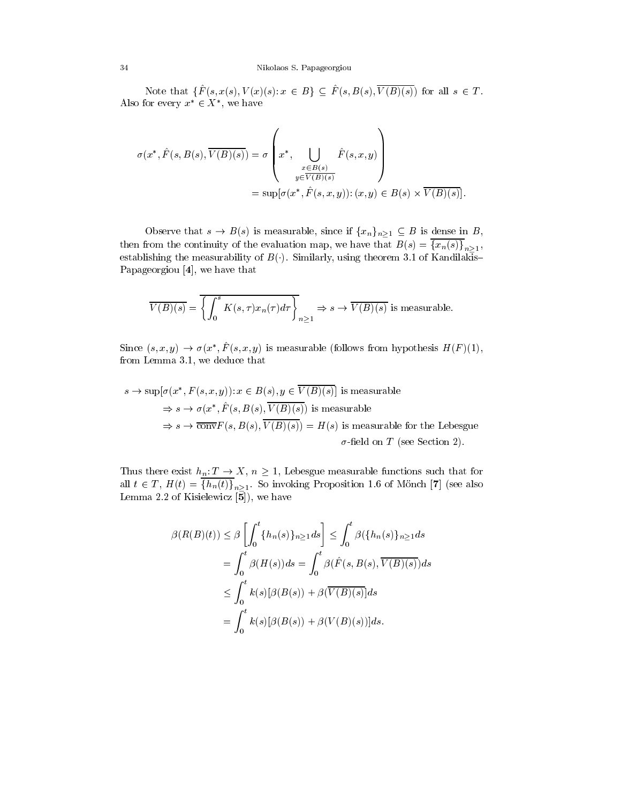Note that  $\{\hat{F}(s, x(s), V(x)(s): x \in B\} \subseteq \hat{F}(s, B(s), \overline{V(B)(s)})$  for all  $s \in T$ . Also for every  $x \in A$ , we have

$$
\sigma(x^*, \hat{F}(s, B(s), \overline{V(B)(s)}) = \sigma\left(x^*, \bigcup_{\substack{x \in B(s) \\ y \in \overline{V(B)(s)}}} \hat{F}(s, x, y)\right)
$$

$$
= \sup[\sigma(x^*, \hat{F}(s, x, y)) : (x, y) \in B(s) \times \overline{V(B)(s)}].
$$

Observe that  $s \to B(s)$  is measurable, since if  $\{x_n\}_{n\geq1} \subseteq B$  is dense in B, then from the continuity of the evaluation map, we have that  $B(s) = \{x_n(s)\}_{n \geq 1}$ , establishing the measurability of  $B(.)$ . Similarly, using theorem 3.1 of Kandilakis-Papageorgiou [4], we have that

$$
\overline{V(B)(s)} = \overline{\left\{ \int_0^s K(s,\tau)x_n(\tau)d\tau \right\}}_{n\geq 1} \Rightarrow s \to \overline{V(B)(s)}
$$
 is measurable.

Since  $(s, x, y) \rightarrow \sigma(x, r, s, x, y)$  is measurable (follows from hypothesis  $H(F)(1)$ , from Lemma 3.1, we deduce that

$$
s \to \sup[\sigma(x^*, F(s, x, y)) : x \in B(s), y \in \overline{V(B)(s)}]
$$
 is measurable  
\n
$$
\Rightarrow s \to \sigma(x^*, \hat{F}(s, B(s), \overline{V(B)(s)})
$$
 is measurable  
\n
$$
\Rightarrow s \to \overline{\text{conv}}F(s, B(s), \overline{V(B)(s)}) = H(s)
$$
 is measurable for the Lebesgue  
\n
$$
\sigma\text{-field on }T \text{ (see Section 2)}.
$$

Thus there exist  $h_n: T \to X$ ,  $n \geq 1$ , Lebesgue measurable functions such that for all  $t \in I$ ,  $H(t) = \{h_n(t)\}_{n \ge 1}$ . So invoking Proposition 1.6 of Monch [7] (see also Lemma 2.2 of Kisielewicz [5]), we have

$$
\beta(R(B)(t)) \leq \beta \left[ \int_0^t \{h_n(s)\}_{n\geq 1} ds \right] \leq \int_0^t \beta(\{h_n(s)\}_{n\geq 1} ds
$$
  
= 
$$
\int_0^t \beta(H(s)) ds = \int_0^t \beta(\hat{F}(s, B(s), \overline{V(B)(s)}) ds
$$
  

$$
\leq \int_0^t k(s)[\beta(B(s)) + \beta(\overline{V(B)(s)})] ds
$$
  
= 
$$
\int_0^t k(s)[\beta(B(s)) + \beta(V(B)(s))] ds.
$$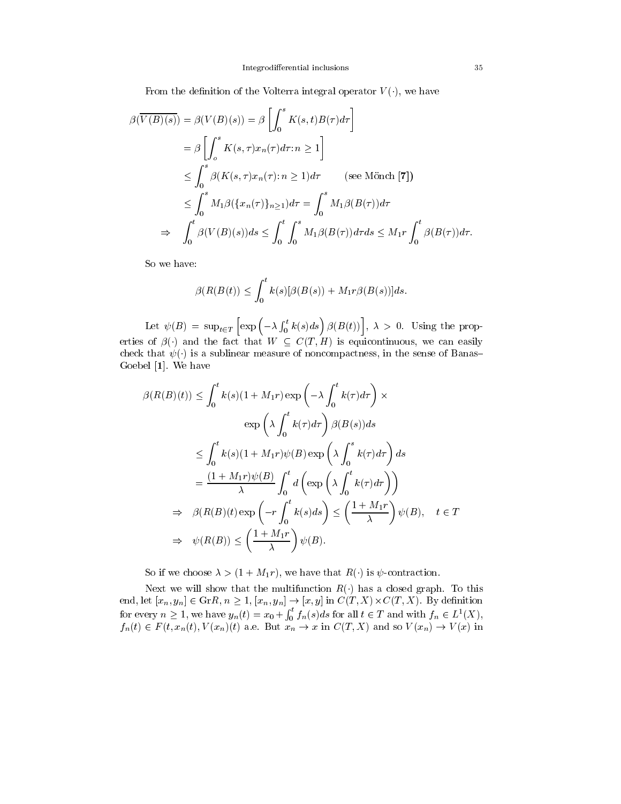From the definition of the Volterra integral operator  $V(.)$ , we have

$$
\beta(\overline{V(B)(s)}) = \beta(V(B)(s)) = \beta \left[ \int_0^s K(s, t)B(\tau)d\tau \right]
$$
  
\n
$$
= \beta \left[ \int_0^s K(s, \tau)x_n(\tau)d\tau : n \ge 1 \right]
$$
  
\n
$$
\le \int_0^s \beta(K(s, \tau)x_n(\tau) : n \ge 1)d\tau \qquad \text{(see Mönch [7])}
$$
  
\n
$$
\le \int_0^s M_1 \beta(\{x_n(\tau)\}_{n \ge 1})d\tau = \int_0^s M_1 \beta(B(\tau))d\tau
$$
  
\n
$$
\Rightarrow \int_0^t \beta(V(B)(s))ds \le \int_0^t \int_0^s M_1 \beta(B(\tau))d\tau ds \le M_1 r \int_0^t \beta(B(\tau))d\tau.
$$

So we have:

$$
\beta(R(B(t)) \leq \int_0^t k(s)[\beta(B(s)) + M_1 r \beta(B(s))]ds.
$$

 $\blacksquare$  .  $\blacksquare$   $\blacksquare$   $\blacksquare$   $\blacksquare$   $\blacksquare$   $\blacksquare$   $\blacksquare$   $\blacksquare$   $\blacksquare$   $\blacksquare$   $\blacksquare$   $\blacksquare$   $\blacksquare$   $\blacksquare$   $\blacksquare$   $\blacksquare$   $\blacksquare$   $\blacksquare$   $\blacksquare$   $\blacksquare$   $\blacksquare$   $\blacksquare$   $\blacksquare$   $\blacksquare$   $\blacksquare$   $\blacksquare$   $\blacksquare$   $\blacksquare$   $\blacksquare$   $\blacksquare$   $\$  $\left[\exp\left(-\lambda \int_0^t k(s)ds\right) \beta(B(t))\right], \lambda > 0.$  Using the properties of  $\beta$ () and the fact that  $W \subseteq C(T,H)$  is equicontinuous, we can easily check that  $\psi(\cdot)$  is a sublinear measure of noncompactness, in the sense of Banas Goebel [1]. We have

$$
\beta(R(B)(t)) \leq \int_0^t k(s)(1 + M_1r) \exp\left(-\lambda \int_0^t k(\tau) d\tau\right) \times
$$
  
\n
$$
\exp\left(\lambda \int_0^t k(\tau) d\tau\right) \beta(B(s)) ds
$$
  
\n
$$
\leq \int_0^t k(s)(1 + M_1r) \psi(B) \exp\left(\lambda \int_0^s k(\tau) d\tau\right) ds
$$
  
\n
$$
= \frac{(1 + M_1r) \psi(B)}{\lambda} \int_0^t d\left(\exp\left(\lambda \int_0^t k(\tau) d\tau\right)\right)
$$
  
\n
$$
\Rightarrow \beta(R(B)(t) \exp\left(-r \int_0^t k(s) ds\right) \leq \left(\frac{1 + M_1r}{\lambda}\right) \psi(B), \quad t \in T
$$
  
\n
$$
\Rightarrow \psi(R(B)) \leq \left(\frac{1 + M_1r}{\lambda}\right) \psi(B).
$$

So if we choose  $\lambda > (1 + M_1r)$ , we have that  $R(\cdot)$  is  $\psi$ -contraction.

Next we will show that the multifunction  $R(\cdot)$  has a closed graph. To this end, let  $[x_n, y_n] \in \text{Grr}(R, n \geq 1, |x_n, y_n| \to |x, y|$  in  $\cup (I, \Lambda) \times \cup (I, \Lambda)$ . By definition for every  $n \geq 1$ , we have  $y_n(t) = x_0 + \int_0^t f_n(s)ds$  for all  $t \in T$  and with  $f_n \in L^1(X)$ ,  $f_n(t) \in F(t, x_n(t), V(x_n)(t)$  a.e. But  $x_n \to x$  in  $C(T, \Lambda)$  and so  $V(x_n) \to V(x)$  in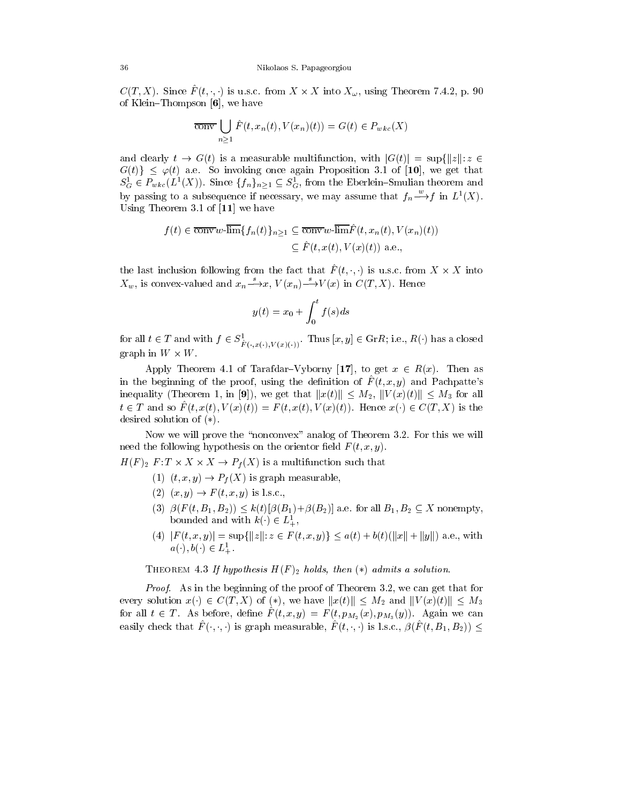$C(T, \Lambda)$ . Since  $F(t, \cdot, \cdot)$  is u.s.c. from  $\Lambda \times \Lambda$  thuo  $\Lambda_{\omega}$ , using Theorem 7.4.2, p. 90 of Klein-Thompson  $[6]$ , we have

$$
\overline{\text{conv}}\bigcup_{n\geq 1}\hat{F}(t,x_n(t),V(x_n)(t))=G(t)\in P_{wkc}(X)
$$

and clearly  $t \to G(t)$  is a measurable multifunction, with  $|G(t)| = \sup\{|z| : z \in$  $G(t) \leq \varphi(t)$  a.e. So invoking once again Proposition 3.1 of [10], we get that  $S_G \in \Gamma_{wkc}(L^2(\Lambda))$ . Since  $\{f_n\}_{n \geq 1} \subseteq S_G^2$ , from the Eberlein-Smulian theorem and by passing to a subsequence if necessary, we may assume that  $f_n \to f$  in  $L^1(X)$ . Using Theorem 3.1 of [11] we have

$$
f(t) \in \overline{\text{conv}}\,w\text{-}\overline{\text{lim}}\{f_n(t)\}_{n\geq 1} \subseteq \overline{\text{conv}}\,w\text{-}\overline{\text{lim}}\hat{F}(t,x_n(t),V(x_n)(t))
$$

$$
\subseteq \hat{F}(t,x(t),V(x)(t)) \text{ a.e.,}
$$

the last inclusion following from the fact that  $F\left(t, \cdot, \cdot\right)$  is u.s.c. from  $X \times X$  into  $X_w$ , is convex-valued and  $x_n \rightarrow x$ ,  $V(x_n) \rightarrow V(x)$  in  $C(T, X)$ . Hence

$$
y(t) = x_0 + \int_0^t f(s)ds
$$

for all  $t \in T$  and with  $f \in S_{\tilde{F}(\cdot,x(\cdot),V(x(\cdot)))}^{\tilde{F}(\cdot,x(\cdot))}$ . Thus  $[x, y] \in G_r R$ ; i.e.,  $R(\cdot)$  has a closed graph in  $W \times W$ .

Apply Theorem 4.1 of Tarafdar–Vyborny [17], to get  $x \in R(x)$ . Then as in the beginning of the proof, using the definition of  $\overline{F}(t, x, y)$  and Pachpatte's inequality (Theorem 1, in [9]), we get that  $||x(t)|| \leq M_2$ ,  $||V(x)(t)|| \leq M_3$  for all  $t \in T$  and so  $\hat{F}(t, x(t), V(x)(t)) = F(t, x(t), V(x)(t)).$  Hence  $x(\cdot) \in C(T, X)$  is the desired solution of  $(*)$ .

Now we will prove the "nonconvex" analog of Theorem 3.2. For this we will need the following hypothesis on the orientor field  $F(t, x, y)$ .

 $H(F)$ <sub>2</sub>  $F: I \times A \times A \rightarrow P_f(A)$  is a multifunction such that

- (1)  $(t, x, y) \rightarrow P_f(X)$  is graph measurable,
- (2)  $(x, y) \to F(t, x, y)$  is l.s.c.,
- (3)  $\beta(F(t, B_1, B_2)) \leq k(t)[\beta(B_1)+\beta(B_2)]$  a.e. for all  $B_1, B_2 \subseteq X$  nonempty, bounded and with  $\kappa(\cdot) \in L_+^{\scriptscriptstyle +}$ ,
- (4)  $|F(t, x, y)| = \sup\{|z| : z \in F(t, x, y)\} \leq a(t) + b(t)(\|x\| + \|y\|)$  a.e., with  $a(\cdot), b(\cdot) \in L_+^-.$

THEOREM 4.3 If hypothesis  $H(F)_2$  holds, then  $(*)$  admits a solution.

Proof. As in the beginning of the proof of Theorem 3.2, we can get that for every solution  $x() \in C(T,X)$  of  $(*)$ , we have  $||x(t)|| \leq M_2$  and  $||V(x)(t)|| \leq M_3$ for all  $t \in T$ . As before, define  $F\left(t, x, y\right) = F\left(t, p_{M_2} (x), p_{M_3} (y)\right)$ . Again we can easily check that  $\hat{F}(\cdot, \cdot, \cdot)$  is graph measurable,  $\hat{F}(t, \cdot, \cdot)$  is l.s.c.,  $\beta(\hat{F}(t, B_1, B_2)) \le$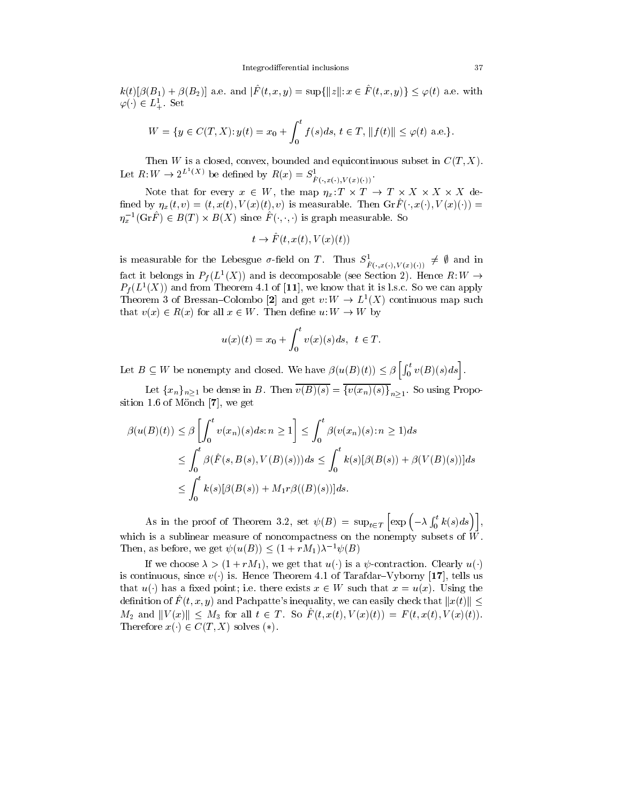$k(t)[\beta(B_1) + \beta(B_2)]$  a.e. and  $\|\hat{F}(t, x, y)\| \leq \sup\{\|z\|: x \in \hat{F}(t, x, y)\} \leq \varphi(t)$  a.e. with  $\varphi(\cdot) \in L_+^{\cdot}$  . Set

$$
L_{+}^{\perp}.\ \text{Set}
$$
  

$$
W = \{y \in C(T, X): y(t) = x_0 + \int_0^t f(s)ds, \ t \in T, ||f(t)|| \le \varphi(t) \ \text{a.e.}\}.
$$

Then W is a closed, convex, bounded and equicontinuous subset in  $C(T, X)$ . Let  $R: W \to 2^{L^-(\Lambda)}$  be defined by  $R(x) = S^{\perp}_{\hat{F}(\cdot,x(\cdot),V(x(\cdot)))}$ .

Note that for every  $x \in W$ , the map  $\eta_x: I \times I \to I \times A \times A \times A$  defined by  $\eta_x(t, v)=(t, x(t), V(x)(t), v)$  is measurable. Then  $\operatorname{Gr}\hat{F}(\cdot, x(\cdot), V(x)(t)) =$  $\eta_x$  (GrF)  $\in$  B(I)  $\times$  B(A) since F(;, ; ) is graph measurable. So

$$
t \to \hat{F}(t, x(t), V(x)(t))
$$

is measurable for the Lebesgue  $\sigma$ -neid on T. Thus  $S_{\hat{F}(\cdot,x(\cdot),V(x)(\cdot))}^{\neq} \neq \emptyset$  and in ract it belongs in  $P_f(L^-(X))$  and is decomposable (see Section 2). Hence  $R: W \rightarrow$  $P_f(L^*(X))$  and from Theorem 4.1 of  $|11|$ , we know that it is l.s.c. So we can apply I neorem 3 of Bressan-Colombo [2] and get v:  $W \to L^2(\Lambda)$  continuous map such that  $v(x) \in R(x)$  for all  $x \in W$ . Then define  $u: W \to W$  by

$$
u(x)(t) = x_0 + \int_0^t v(x)(s)ds, \ \ t \in T.
$$

Let  $B \subseteq W$  be nonempty and closed. We have  $\beta(u(B)(t)) \leq \beta \left[ \int_0^t v(B)(s)ds \right]$ .

Let  $\{x_n\}_{n\geq 1}$  be dense in B. Then  $v(B)(s) = \{v(x_n)(s)\}_{n\geq 1}$ . So using Proposition 1.6 of Mönch  $[7]$ , we get

$$
\beta(u(B)(t)) \leq \beta \left[ \int_0^t v(x_n)(s)ds; n \geq 1 \right] \leq \int_0^t \beta(v(x_n)(s); n \geq 1)ds
$$
  
\n
$$
\leq \int_0^t \beta(\hat{F}(s, B(s), V(B)(s)))ds \leq \int_0^t k(s)[\beta(B(s)) + \beta(V(B)(s))]ds
$$
  
\n
$$
\leq \int_0^t k(s)[\beta(B(s)) + M_1 r \beta((B)(s))]ds.
$$

As in the proof of Theorem 3.2, set  $\mathcal{F}(\mathbb{Z})$  , supply Theorem  $\Bigl[\exp\Bigl(-\lambda\int_0^t k(s)ds\Bigr)\Bigr],$ which is a sublinear measure of noncompactness on the nonempty subsets of  $\tilde{W}$ . Then, as before, we get  $\psi(u(B)) \leq (1 + rM_1)\lambda^{-1} \psi(B)$ 

If we choose  $\lambda > (1 + rM_1)$ , we get that  $u(\cdot)$  is a  $\psi$ -contraction. Clearly  $u(\cdot)$ is continuous, since  $v(\cdot)$  is. Hence Theorem 4.1 of Tarafdar–Vyborny [17], tells us that  $u(\cdot)$  has a fixed point; i.e. there exists  $x \in W$  such that  $x = u(x)$ . Using the is continuous, since  $v(\cdot)$  is. Hence Theorem 4.1 of Tarafdar–Vyborny [17], tells us<br>that  $u(\cdot)$  has a fixed point; i.e. there exists  $x \in W$  such that  $x = u(x)$ . Using the<br>definition of  $\hat{F}(t, x, y)$  and Pachpatte's inequal  $M_2$  and  $||V(x)|| \leq M_3$  for all  $t \in T$ . So  $\hat{F}(t, x(t), V(x)(t)) = F(t, x(t), V(x)(t)).$ Therefore  $x() \in C(T,X)$  solves (\*).